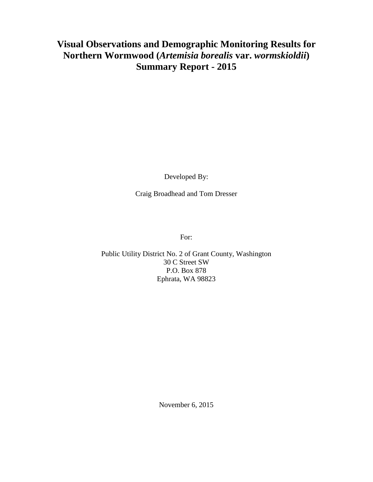## **Visual Observations and Demographic Monitoring Results for Northern Wormwood (***Artemisia borealis* **var.** *wormskioldii***) Summary Report - 2015**

Developed By:

Craig Broadhead and Tom Dresser

For:

Public Utility District No. 2 of Grant County, Washington 30 C Street SW P.O. Box 878 Ephrata, WA 98823

November 6, 2015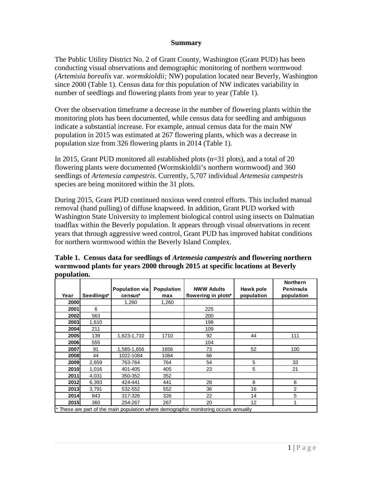## **Summary**

The Public Utility District No. 2 of Grant County, Washington (Grant PUD) has been conducting visual observations and demographic monitoring of northern wormwood (*Artemisia borealis* var. *wormskioldii;* NW) population located near Beverly, Washington since 2000 (Table 1). Census data for this population of NW indicates variability in number of seedlings and flowering plants from year to year (Table 1).

Over the observation timeframe a decrease in the number of flowering plants within the monitoring plots has been documented, while census data for seedling and ambiguous indicate a substantial increase. For example, annual census data for the main NW population in 2015 was estimated at 267 flowering plants, which was a decrease in population size from 326 flowering plants in 2014 (Table 1).

In 2015, Grant PUD monitored all established plots (n=31 plots), and a total of 20 flowering plants were documented (Wormskioldii's northern wormwood) and 360 seedlings of *Artemesia campestris*. Currently, 5,707 individual *Artemesia campestris*  species are being monitored within the 31 plots.

During 2015, Grant PUD continued noxious weed control efforts. This included manual removal (hand pulling) of diffuse knapweed. In addition, Grant PUD worked with Washington State University to implement biological control using insects on Dalmatian toadflax within the Beverly population. It appears through visual observations in recent years that through aggressive weed control, Grant PUD has improved habitat conditions for northern wormwood within the Beverly Island Complex.

| population.                                                                        |            |                           |                          |                                          |                         |                                            |
|------------------------------------------------------------------------------------|------------|---------------------------|--------------------------|------------------------------------------|-------------------------|--------------------------------------------|
| Year                                                                               | Seedlings* | Population via<br>census* | <b>Population</b><br>max | <b>NWW Adults</b><br>flowering in plots* | Hawk pole<br>population | <b>Northern</b><br>Peninsula<br>population |
| 2000                                                                               |            | 1,260                     | 1,260                    |                                          |                         |                                            |
| 2001                                                                               | 6          |                           |                          | 225                                      |                         |                                            |
| 2002                                                                               | 563        |                           |                          | 200                                      |                         |                                            |
| 2003                                                                               | 1,610      |                           |                          | 198                                      |                         |                                            |
| 2004                                                                               | 211        |                           |                          | 109                                      |                         |                                            |
| 2005                                                                               | 139        | 1,623-1,710               | 1710                     | 92                                       | 44                      | 111                                        |
| 2006                                                                               | 555        |                           |                          | 104                                      |                         |                                            |
| 2007                                                                               | 91         | 1,585-1,656               | 1656                     | 73                                       | 52                      | 100                                        |
| 2008                                                                               | 44         | 1022-1084                 | 1084                     | 66                                       |                         |                                            |
| 2009                                                                               | 2,659      | 763-764                   | 764                      | 54                                       | 5                       | 33                                         |
| 2010                                                                               | 1,016      | 401-405                   | 405                      | 23                                       | 5                       | 21                                         |
| 2011                                                                               | 4,031      | 350-352                   | 352                      |                                          |                         |                                            |
| 2012                                                                               | 6,393      | 424-441                   | 441                      | 28                                       | 8                       | 8                                          |
| 2013                                                                               | 3,791      | 532-552                   | 552                      | 36                                       | 16                      | 2                                          |
| 2014                                                                               | 843        | 317-326                   | 326                      | 22                                       | 14                      | 5                                          |
| 2015                                                                               | 360        | 254-267                   | 267                      | 20                                       | 12                      |                                            |
| These are part of the main population where demographic monitoring occurs annually |            |                           |                          |                                          |                         |                                            |

**Table 1. Census data for seedlings of** *Artemesia campestris* **and flowering northern wormwood plants for years 2000 through 2015 at specific locations at Beverly population.**